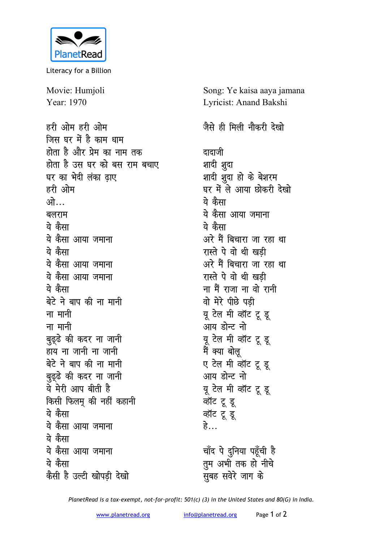

Literacy for a Billion

Movie: Humjoli Year: 1970

हरी ओम हरी ओम जिस घर में है काम धाम होता है और प्रेम का नाम तक दादाजी होता है उस घर को बस राम बचाए शादी शुदा घर का भेदी लंका ढ़ाए हरी ओम ्यो ये कैसा बलराम ये कैसा ये कैसा ये कैसा आया जमाना ये कैसा ये कैसा आया जमाना ये कैसा आया जमाना ये कैसा बेटे ने बाप की ना मानी ना मानी ना मानी बुढ़ुढे की कदर ना जानी हाय ना जानी ना जानी बेटे ने बाप की ना मानी बुढ्ढे की कदर ना जानी ये मेरी आप बीती है किसी फिलमू की नहीं कहानी ये कैसा ये कैसा आया जमाना हे… ये कैसा ये कैसा आया जमाना ये कैसा ्<br>सुबह सवेरे जाग के कैसी है उल्टी खोपडी देखो

Song: Ye kaisa aaya jamana Lyricist: Anand Bakshi

## जैसे ही मिली नौकरी देखो

शादी शुदा हो के बेशरम घर में ले आया छोकरी देखो ये कैसा आया जमाना अरे मैं बिचारा जा रहा था रास्ते पे वो थी खडी अरे मैं बिचारा जा रहा था रास्ते पे वो थी खडी ना मैं राजा ना वो रानी वो मेरे पीछे पड़ी यू टेल मी व्हॉट टू डू आय डोन्ट नो यू टेल मी व्हॉट टू डू मैं क्या बोलू ए टेल मी व्हॉट टू डू आय डोन्ट नो यू टेल मी व्हॉट टू डू व्हॉट टू डू व्हॉट टू डू चाँद पे दुनिया पहूँची है तुम अभी तक हो नीचे

PlanetRead is a tax-exempt, not-for-profit: 501(c) (3) in the United States and 80(G) in India.